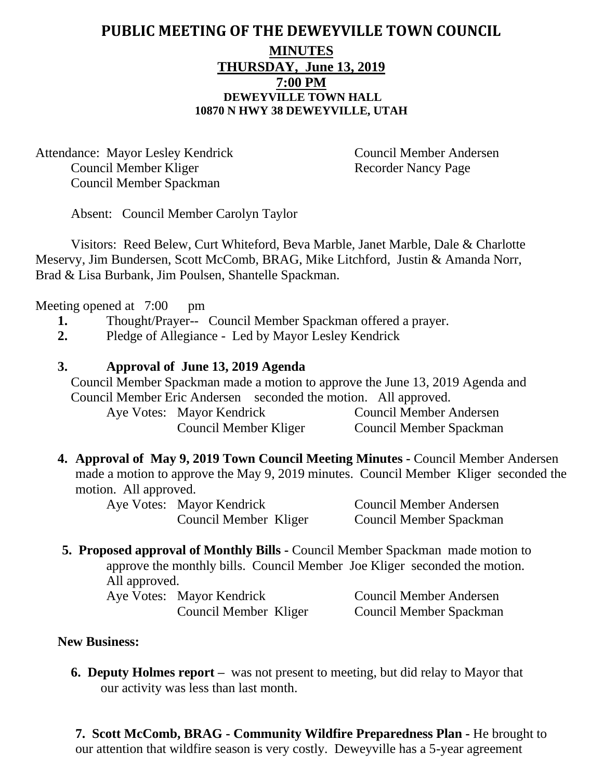### **PUBLIC MEETING OF THE DEWEYVILLE TOWN COUNCIL MINUTES THURSDAY, June 13, 2019 7:00 PM DEWEYVILLE TOWN HALL 10870 N HWY 38 DEWEYVILLE, UTAH**

Attendance: Mayor Lesley Kendrick Council Member Andersen Council Member Kliger Recorder Nancy Page Council Member Spackman

Absent: Council Member Carolyn Taylor

Visitors: Reed Belew, Curt Whiteford, Beva Marble, Janet Marble, Dale & Charlotte Meservy, Jim Bundersen, Scott McComb, BRAG, Mike Litchford, Justin & Amanda Norr, Brad & Lisa Burbank, Jim Poulsen, Shantelle Spackman.

Meeting opened at 7:00 pm

- **1.** Thought/Prayer-- Council Member Spackman offered a prayer.
- **2.** Pledge of Allegiance Led by Mayor Lesley Kendrick

#### **3. Approval of June 13, 2019 Agenda**

Council Member Spackman made a motion to approve the June 13, 2019 Agenda and Council Member Eric Andersen seconded the motion. All approved.

Aye Votes: Mayor Kendrick Council Member Andersen Council Member Kliger Council Member Spackman

**4. Approval of May 9, 2019 Town Council Meeting Minutes -** Council Member Andersen made a motion to approve the May 9, 2019 minutes. Council Member Kliger seconded the motion. All approved.

Aye Votes: Mayor Kendrick Council Member Andersen

Council Member Kliger Council Member Spackman

**5. Proposed approval of Monthly Bills -** Council Member Spackman made motion to approve the monthly bills. Council Member Joe Kliger seconded the motion. All approved.

| Aye Votes: Mayor Kendrick | <b>Council Member Andersen</b> |
|---------------------------|--------------------------------|
| Council Member Kliger     | Council Member Spackman        |

#### **New Business:**

**6. Deputy Holmes report –** was not present to meeting, but did relay to Mayor that our activity was less than last month.

**7. Scott McComb, BRAG - Community Wildfire Preparedness Plan -** He brought to our attention that wildfire season is very costly. Deweyville has a 5-year agreement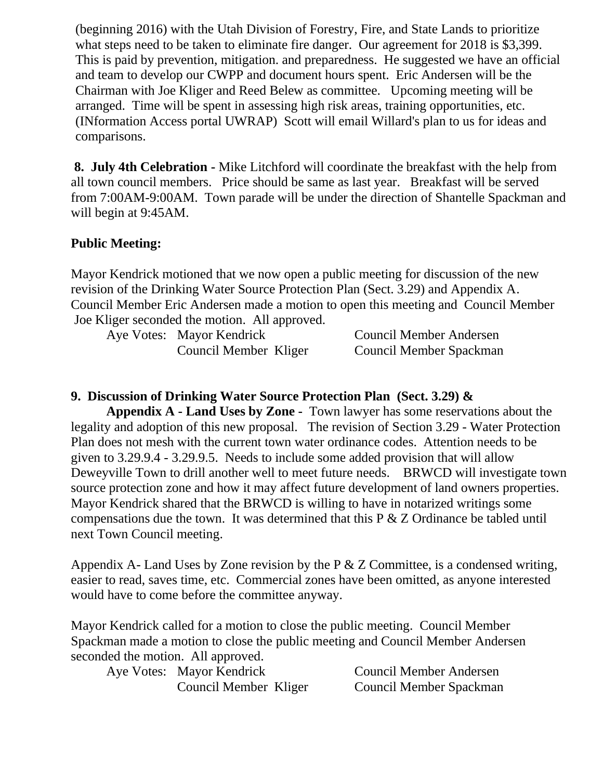(beginning 2016) with the Utah Division of Forestry, Fire, and State Lands to prioritize what steps need to be taken to eliminate fire danger. Our agreement for 2018 is \$3,399. This is paid by prevention, mitigation. and preparedness. He suggested we have an official and team to develop our CWPP and document hours spent. Eric Andersen will be the Chairman with Joe Kliger and Reed Belew as committee. Upcoming meeting will be arranged. Time will be spent in assessing high risk areas, training opportunities, etc. (INformation Access portal UWRAP) Scott will email Willard's plan to us for ideas and comparisons.

**8. July 4th Celebration -** Mike Litchford will coordinate the breakfast with the help from all town council members. Price should be same as last year. Breakfast will be served from 7:00AM-9:00AM. Town parade will be under the direction of Shantelle Spackman and will begin at 9:45AM.

### **Public Meeting:**

Mayor Kendrick motioned that we now open a public meeting for discussion of the new revision of the Drinking Water Source Protection Plan (Sect. 3.29) and Appendix A. Council Member Eric Andersen made a motion to open this meeting and Council Member Joe Kliger seconded the motion. All approved.

| Aye Votes: Mayor Kendrick | Council Member Andersen |
|---------------------------|-------------------------|
| Council Member Kliger     | Council Member Spackman |

## **9. Discussion of Drinking Water Source Protection Plan (Sect. 3.29) &**

**Appendix A - Land Uses by Zone -** Town lawyer has some reservations about the legality and adoption of this new proposal. The revision of Section 3.29 - Water Protection Plan does not mesh with the current town water ordinance codes. Attention needs to be given to 3.29.9.4 - 3.29.9.5. Needs to include some added provision that will allow Deweyville Town to drill another well to meet future needs. BRWCD will investigate town source protection zone and how it may affect future development of land owners properties. Mayor Kendrick shared that the BRWCD is willing to have in notarized writings some compensations due the town. It was determined that this P & Z Ordinance be tabled until next Town Council meeting.

Appendix A- Land Uses by Zone revision by the P & Z Committee, is a condensed writing, easier to read, saves time, etc. Commercial zones have been omitted, as anyone interested would have to come before the committee anyway.

Mayor Kendrick called for a motion to close the public meeting. Council Member Spackman made a motion to close the public meeting and Council Member Andersen seconded the motion. All approved.

Aye Votes: Mayor Kendrick Council Member Andersen

Council Member Kliger Council Member Spackman